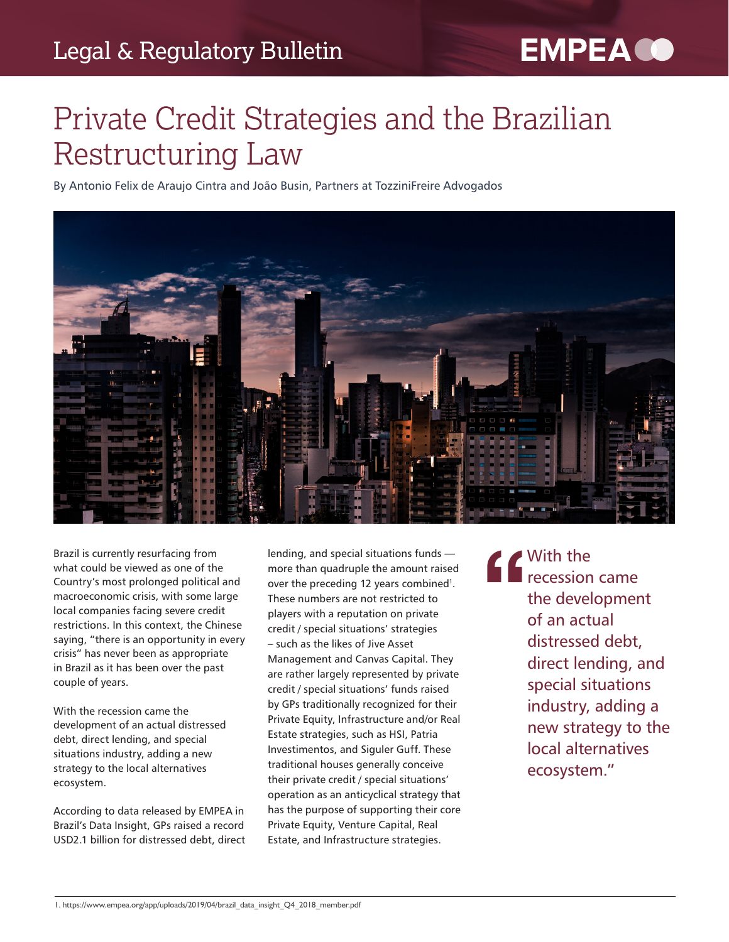# **EMPEA CO**

## Private Credit Strategies and the Brazilian Restructuring Law

By Antonio Felix de Araujo Cintra and João Busin, Partners at TozziniFreire Advogados



Brazil is currently resurfacing from what could be viewed as one of the Country's most prolonged political and macroeconomic crisis, with some large local companies facing severe credit restrictions. In this context, the Chinese saying, "there is an opportunity in every crisis" has never been as appropriate in Brazil as it has been over the past couple of years.

With the recession came the development of an actual distressed debt, direct lending, and special situations industry, adding a new strategy to the local alternatives ecosystem.

According to data released by EMPEA in Brazil's Data Insight, GPs raised a record USD2.1 billion for distressed debt, direct lending, and special situations funds more than quadruple the amount raised over the preceding 12 years combined<sup>1</sup>. These numbers are not restricted to players with a reputation on private credit / special situations' strategies – such as the likes of Jive Asset Management and Canvas Capital. They are rather largely represented by private credit / special situations' funds raised by GPs traditionally recognized for their Private Equity, Infrastructure and/or Real Estate strategies, such as HSI, Patria Investimentos, and Siguler Guff. These traditional houses generally conceive their private credit / special situations' operation as an anticyclical strategy that has the purpose of supporting their core Private Equity, Venture Capital, Real Estate, and Infrastructure strategies.

**"** With the recession came the development of an actual distressed debt, direct lending, and special situations industry, adding a new strategy to the local alternatives ecosystem."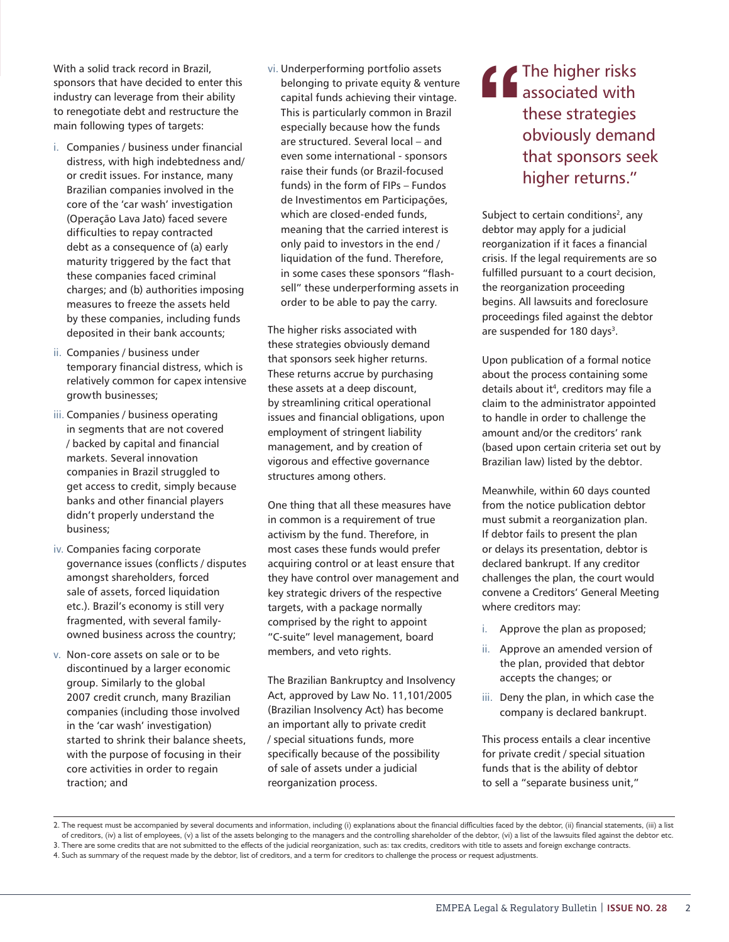With a solid track record in Brazil, sponsors that have decided to enter this industry can leverage from their ability to renegotiate debt and restructure the main following types of targets:

- i. Companies / business under financial distress, with high indebtedness and/ or credit issues. For instance, many Brazilian companies involved in the core of the 'car wash' investigation (Operação Lava Jato) faced severe difficulties to repay contracted debt as a consequence of (a) early maturity triggered by the fact that these companies faced criminal charges; and (b) authorities imposing measures to freeze the assets held by these companies, including funds deposited in their bank accounts;
- ii. Companies / business under temporary financial distress, which is relatively common for capex intensive growth businesses;
- iii. Companies / business operating in segments that are not covered / backed by capital and financial markets. Several innovation companies in Brazil struggled to get access to credit, simply because banks and other financial players didn't properly understand the business;
- iv. Companies facing corporate governance issues (conflicts / disputes amongst shareholders, forced sale of assets, forced liquidation etc.). Brazil's economy is still very fragmented, with several familyowned business across the country;
- v. Non-core assets on sale or to be discontinued by a larger economic group. Similarly to the global 2007 credit crunch, many Brazilian companies (including those involved in the 'car wash' investigation) started to shrink their balance sheets, with the purpose of focusing in their core activities in order to regain traction; and

vi. Underperforming portfolio assets belonging to private equity & venture capital funds achieving their vintage. This is particularly common in Brazil especially because how the funds are structured. Several local – and even some international - sponsors raise their funds (or Brazil-focused funds) in the form of FIPs – Fundos de Investimentos em Participações, which are closed-ended funds, meaning that the carried interest is only paid to investors in the end / liquidation of the fund. Therefore, in some cases these sponsors "flashsell" these underperforming assets in order to be able to pay the carry.

The higher risks associated with these strategies obviously demand that sponsors seek higher returns. These returns accrue by purchasing these assets at a deep discount, by streamlining critical operational issues and financial obligations, upon employment of stringent liability management, and by creation of vigorous and effective governance structures among others.

One thing that all these measures have in common is a requirement of true activism by the fund. Therefore, in most cases these funds would prefer acquiring control or at least ensure that they have control over management and key strategic drivers of the respective targets, with a package normally comprised by the right to appoint "C-suite" level management, board members, and veto rights.

The Brazilian Bankruptcy and Insolvency Act, approved by Law No. 11,101/2005 (Brazilian Insolvency Act) has become an important ally to private credit / special situations funds, more specifically because of the possibility of sale of assets under a judicial reorganization process.

#### The higher risks<br>
associated with<br>
these strategies<br>
obviously demar<br>
that sponsors se associated with these strategies obviously demand that sponsors seek higher returns."

Subject to certain conditions<sup>2</sup>, any debtor may apply for a judicial reorganization if it faces a financial crisis. If the legal requirements are so fulfilled pursuant to a court decision, the reorganization proceeding begins. All lawsuits and foreclosure proceedings filed against the debtor are suspended for 180 days<sup>3</sup>.

Upon publication of a formal notice about the process containing some details about it<sup>4</sup>, creditors may file a claim to the administrator appointed to handle in order to challenge the amount and/or the creditors' rank (based upon certain criteria set out by Brazilian law) listed by the debtor.

Meanwhile, within 60 days counted from the notice publication debtor must submit a reorganization plan. If debtor fails to present the plan or delays its presentation, debtor is declared bankrupt. If any creditor challenges the plan, the court would convene a Creditors' General Meeting where creditors may:

- i. Approve the plan as proposed;
- ii. Approve an amended version of the plan, provided that debtor accepts the changes; or
- iii. Deny the plan, in which case the company is declared bankrupt.

This process entails a clear incentive for private credit / special situation funds that is the ability of debtor to sell a "separate business unit,"

<sup>2.</sup> The request must be accompanied by several documents and information, including (i) explanations about the financial difficulties faced by the debtor, (ii) financial statements, (iii) a list of creditors, (iv) a list of employees, (v) a list of the assets belonging to the managers and the controlling shareholder of the debtor, (vi) a list of the lawsuits filed against the debtor etc. 3. There are some credits that are not submitted to the effects of the judicial reorganization, such as: tax credits, creditors with title to assets and foreign exchange contracts. 4. Such as summary of the request made by the debtor, list of creditors, and a term for creditors to challenge the process or request adjustments.